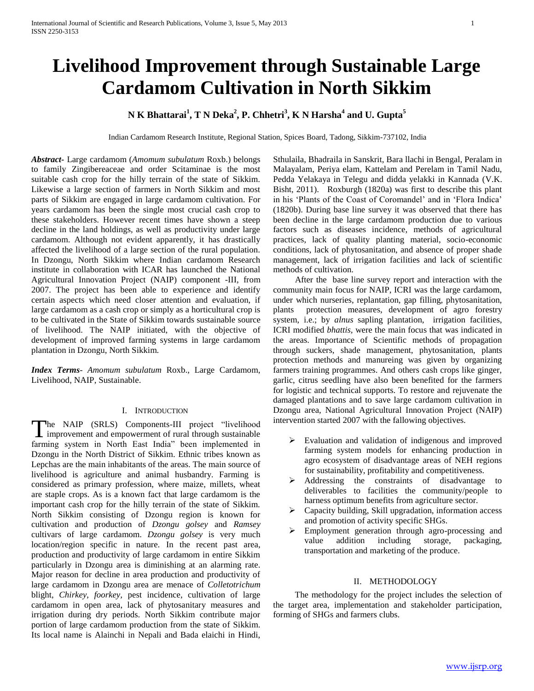# **Livelihood Improvement through Sustainable Large Cardamom Cultivation in North Sikkim**

# **N K Bhattarai<sup>1</sup> , T N Deka<sup>2</sup> , P. Chhetri<sup>3</sup> , K N Harsha<sup>4</sup> and U. Gupta<sup>5</sup>**

Indian Cardamom Research Institute, Regional Station, Spices Board, Tadong, Sikkim-737102, India

*Abstract***-** Large cardamom (*Amomum subulatum* Roxb.) belongs to family Zingibereaceae and order Scitaminae is the most suitable cash crop for the hilly terrain of the state of Sikkim. Likewise a large section of farmers in North Sikkim and most parts of Sikkim are engaged in large cardamom cultivation. For years cardamom has been the single most crucial cash crop to these stakeholders. However recent times have shown a steep decline in the land holdings, as well as productivity under large cardamom. Although not evident apparently, it has drastically affected the livelihood of a large section of the rural population. In Dzongu, North Sikkim where Indian cardamom Research institute in collaboration with ICAR has launched the National Agricultural Innovation Project (NAIP) component -III, from 2007. The project has been able to experience and identify certain aspects which need closer attention and evaluation, if large cardamom as a cash crop or simply as a horticultural crop is to be cultivated in the State of Sikkim towards sustainable source of livelihood. The NAIP initiated, with the objective of development of improved farming systems in large cardamom plantation in Dzongu, North Sikkim.

*Index Terms*- *Amomum subulatum* Roxb., Large Cardamom, Livelihood, NAIP, Sustainable.

#### I. INTRODUCTION

he NAIP (SRLS) Components-III project "livelihood The NAIP (SRLS) Components-III project "livelihood improvement and empowerment of rural through sustainable farming system in North East India" been implemented in Dzongu in the North District of Sikkim. Ethnic tribes known as Lepchas are the main inhabitants of the areas. The main source of livelihood is agriculture and animal husbandry. Farming is considered as primary profession, where maize, millets, wheat are staple crops. As is a known fact that large cardamom is the important cash crop for the hilly terrain of the state of Sikkim. North Sikkim consisting of Dzongu region is known for cultivation and production of *Dzongu golsey* and *Ramsey* cultivars of large cardamom. *Dzongu golsey* is very much location/region specific in nature. In the recent past area, production and productivity of large cardamom in entire Sikkim particularly in Dzongu area is diminishing at an alarming rate. Major reason for decline in area production and productivity of large cardamom in Dzongu area are menace of *Colletotrichum* blight, *Chirkey*, *foorkey,* pest incidence, cultivation of large cardamom in open area, lack of phytosanitary measures and irrigation during dry periods. North Sikkim contribute major portion of large cardamom production from the state of Sikkim. Its local name is Alainchi in Nepali and Bada elaichi in Hindi, Sthulaila, Bhadraila in Sanskrit, Bara llachi in Bengal, Peralam in Malayalam, Periya elam, Kattelam and Perelam in Tamil Nadu, Pedda Yelakaya in Telegu and didda yelakki in Kannada (V.K. Bisht, 2011). Roxburgh (1820a) was first to describe this plant in his 'Plants of the Coast of Coromandel' and in 'Flora Indica' (1820b). During base line survey it was observed that there has been decline in the large cardamom production due to various factors such as diseases incidence, methods of agricultural practices, lack of quality planting material, socio-economic conditions, lack of phytosanitation, and absence of proper shade management, lack of irrigation facilities and lack of scientific methods of cultivation.

 After the base line survey report and interaction with the community main focus for NAIP, ICRI was the large cardamom, under which nurseries, replantation, gap filling, phytosanitation, plants protection measures, development of agro forestry system, i.e.; by *alnus* sapling plantation, irrigation facilities, ICRI modified *bhattis,* were the main focus that was indicated in the areas. Importance of Scientific methods of propagation through suckers, shade management, phytosanitation, plants protection methods and manureing was given by organizing farmers training programmes. And others cash crops like ginger, garlic, citrus seedling have also been benefited for the farmers for logistic and technical supports. To restore and rejuvenate the damaged plantations and to save large cardamom cultivation in Dzongu area, National Agricultural Innovation Project (NAIP) intervention started 2007 with the fallowing objectives.

- Evaluation and validation of indigenous and improved farming system models for enhancing production in agro ecosystem of disadvantage areas of NEH regions for sustainability, profitability and competitiveness.
- Addressing the constraints of disadvantage to deliverables to facilities the community/people to harness optimum benefits from agriculture sector.
- $\triangleright$  Capacity building, Skill upgradation, information access and promotion of activity specific SHGs.
- **Employment generation through agro-processing and** value addition including storage, packaging, transportation and marketing of the produce.

# II. METHODOLOGY

 The methodology for the project includes the selection of the target area, implementation and stakeholder participation, forming of SHGs and farmers clubs.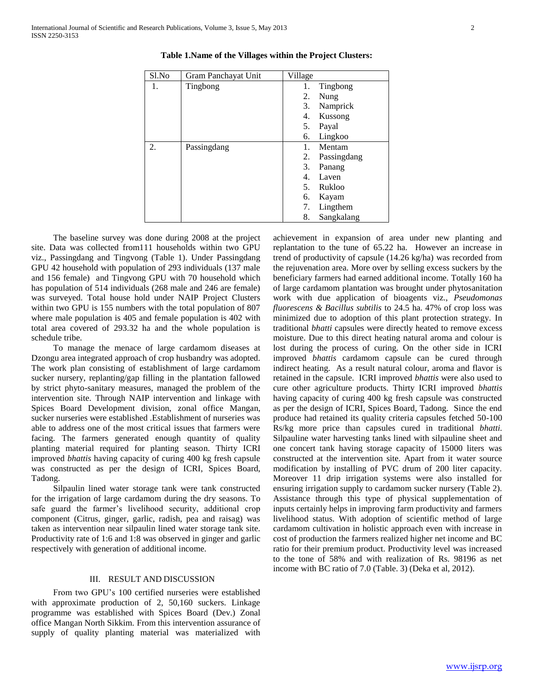| Sl.No | Gram Panchayat Unit | Village |             |
|-------|---------------------|---------|-------------|
| 1.    | Tingbong            | 1.      | Tingbong    |
|       |                     | 2.      | Nung        |
|       |                     | 3.      | Namprick    |
|       |                     | 4.      | Kussong     |
|       |                     | 5.      | Payal       |
|       |                     | 6.      | Lingkoo     |
| 2.    | Passingdang         | 1.      | Mentam      |
|       |                     | 2.      | Passingdang |
|       |                     | 3.      | Panang      |
|       |                     | 4.      | Laven       |
|       |                     | 5.      | Rukloo      |
|       |                     | 6.      | Kayam       |
|       |                     | 7.      | Lingthem    |
|       |                     | 8.      | Sangkalang  |

**Table 1.Name of the Villages within the Project Clusters:**

 The baseline survey was done during 2008 at the project site. Data was collected from111 households within two GPU viz., Passingdang and Tingvong (Table 1). Under Passingdang GPU 42 household with population of 293 individuals (137 male and 156 female) and Tingvong GPU with 70 household which has population of 514 individuals (268 male and 246 are female) was surveyed. Total house hold under NAIP Project Clusters within two GPU is 155 numbers with the total population of 807 where male population is 405 and female population is 402 with total area covered of 293.32 ha and the whole population is schedule tribe.

 To manage the menace of large cardamom diseases at Dzongu area integrated approach of crop husbandry was adopted. The work plan consisting of establishment of large cardamom sucker nursery, replanting/gap filling in the plantation fallowed by strict phyto-sanitary measures, managed the problem of the intervention site. Through NAIP intervention and linkage with Spices Board Development division, zonal office Mangan, sucker nurseries were established .Establishment of nurseries was able to address one of the most critical issues that farmers were facing. The farmers generated enough quantity of quality planting material required for planting season. Thirty ICRI improved *bhattis* having capacity of curing 400 kg fresh capsule was constructed as per the design of ICRI, Spices Board, Tadong.

 Silpaulin lined water storage tank were tank constructed for the irrigation of large cardamom during the dry seasons. To safe guard the farmer's livelihood security, additional crop component (Citrus, ginger, garlic, radish, pea and raisag) was taken as intervention near silpaulin lined water storage tank site. Productivity rate of 1:6 and 1:8 was observed in ginger and garlic respectively with generation of additional income.

#### III. RESULT AND DISCUSSION

 From two GPU's 100 certified nurseries were established with approximate production of 2, 50,160 suckers. Linkage programme was established with Spices Board (Dev.) Zonal office Mangan North Sikkim. From this intervention assurance of supply of quality planting material was materialized with achievement in expansion of area under new planting and replantation to the tune of 65.22 ha. However an increase in trend of productivity of capsule (14.26 kg/ha) was recorded from the rejuvenation area. More over by selling excess suckers by the beneficiary farmers had earned additional income. Totally 160 ha of large cardamom plantation was brought under phytosanitation work with due application of bioagents viz., *Pseudomonas fluorescens & Bacillus subtilis* to 24.5 ha. 47% of crop loss was minimized due to adoption of this plant protection strategy. In traditional *bhatti* capsules were directly heated to remove excess moisture. Due to this direct heating natural aroma and colour is lost during the process of curing. On the other side in ICRI improved *bhattis* cardamom capsule can be cured through indirect heating. As a result natural colour, aroma and flavor is retained in the capsule. ICRI improved *bhattis* were also used to cure other agriculture products. Thirty ICRI improved *bhattis* having capacity of curing 400 kg fresh capsule was constructed as per the design of ICRI, Spices Board, Tadong. Since the end produce had retained its quality criteria capsules fetched 50-100 Rs/kg more price than capsules cured in traditional *bhatti.*  Silpauline water harvesting tanks lined with silpauline sheet and one concert tank having storage capacity of 15000 liters was constructed at the intervention site. Apart from it water source modification by installing of PVC drum of 200 liter capacity. Moreover 11 drip irrigation systems were also installed for ensuring irrigation supply to cardamom sucker nursery (Table 2). Assistance through this type of physical supplementation of inputs certainly helps in improving farm productivity and farmers livelihood status. With adoption of scientific method of large cardamom cultivation in holistic approach even with increase in cost of production the farmers realized higher net income and BC ratio for their premium product. Productivity level was increased to the tone of 58% and with realization of Rs. 98196 as net income with BC ratio of 7.0 (Table. 3) (Deka et al, 2012).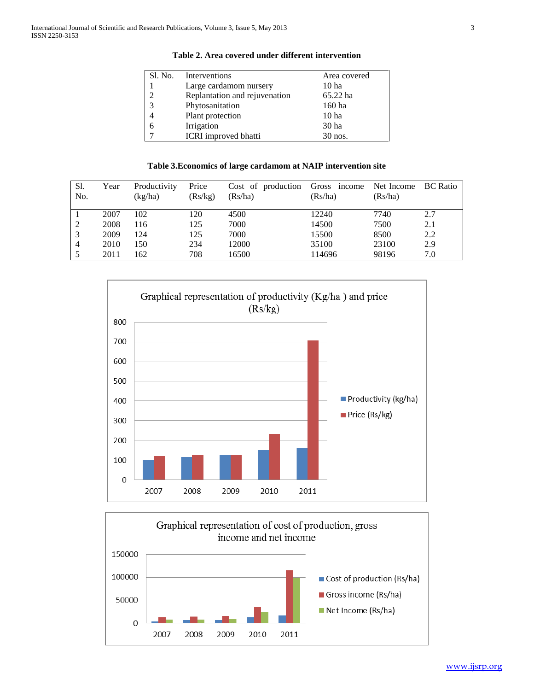| Sl. No. | Interventions                 | Area covered     |
|---------|-------------------------------|------------------|
|         | Large cardamom nursery        | 10 ha            |
| 2       | Replantation and rejuvenation | 65.22 ha         |
| 3       | Phytosanitation               | 160 ha           |
|         | Plant protection              | 10 <sub>ha</sub> |
| 6       | Irrigation                    | 30 ha            |
|         | ICRI improved bhatti          | $30$ nos.        |

# **Table 2. Area covered under different intervention**

# **Table 3.Economics of large cardamom at NAIP intervention site**

| Sl.<br>No. | Year | Productivity<br>(kg/ha) | Price<br>(Rs/kg) | Cost of production Gross income Net Income BC Ratio<br>(Rs/ha) | (Rs/ha) | (Rs/ha) |     |
|------------|------|-------------------------|------------------|----------------------------------------------------------------|---------|---------|-----|
|            | 2007 | 102                     | 120              | 4500                                                           | 12240   | 7740    | 2.7 |
| 2          | 2008 | 116                     | 125              | 7000                                                           | 14500   | 7500    | 2.1 |
| 3          | 2009 | 124                     | 125              | 7000                                                           | 15500   | 8500    | 2.2 |
| 4          | 2010 | 150                     | 234              | 12000                                                          | 35100   | 23100   | 2.9 |
|            | 2011 | 162                     | 708              | 16500                                                          | 114696  | 98196   | 7.0 |